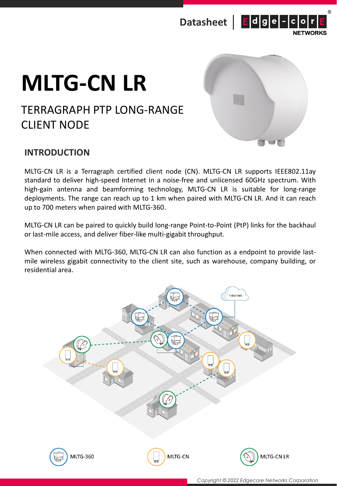



# **MLTG-CN LR**

## TERRAGRAPH PTP LONG-RANGE CLIENT NODE



## **INTRODUCTION**

MLTG-CN LR is a Terragraph certified client node (CN). MLTG-CN LR supports IEEE802.11ay standard to deliver high-speed Internet in a noise-free and unlicensed 60GHz spectrum. With high-gain antenna and beamforming technology, MLTG-CN LR is suitable for long-range deployments. The range can reach up to 1 km when paired with MLTG-CN LR. And it can reach up to 700 meters when paired with MLTG-360.

MLTG-CN LR can be paired to quickly build long-range Point-to-Point (PtP) links for the backhaul or last-mile access, and deliver fiber-like multi-gigabit throughput.

When connected with MLTG-360, MLTG-CN LR can also function as a endpoint to provide lastmile wireless gigabit connectivity to the client site, such as warehouse, company building, or residential area.

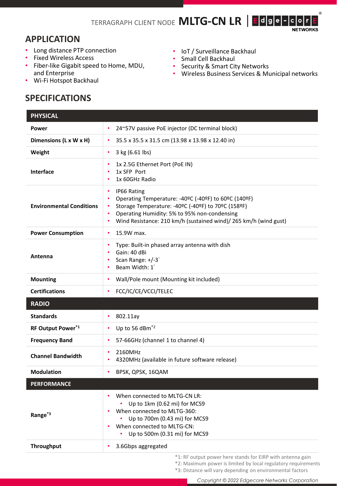#### **APPLICATION**

- Long distance PTP connection
- Fixed Wireless Access
- Fiber-like Gigabit speed to Home, MDU, and Enterprise
- Wi-Fi Hotspot Backhaul

## **SPECIFICATIONS**

- IoT / Surveillance Backhaul
- Small Cell Backhaul
- Security & Smart City Networks
- Wireless Business Services & Municipal networks

 $^{\circledR}$ 

| <b>PHYSICAL</b>                 |                                                                                                                                                                                                                                                                        |
|---------------------------------|------------------------------------------------------------------------------------------------------------------------------------------------------------------------------------------------------------------------------------------------------------------------|
| Power                           | 24~57V passive PoE injector (DC terminal block)<br>$\bullet$                                                                                                                                                                                                           |
| Dimensions (L x W x H)          | 35.5 x 35.5 x 31.5 cm (13.98 x 13.98 x 12.40 in)<br>$\bullet$                                                                                                                                                                                                          |
| Weight                          | 3 kg (6.61 lbs)<br>$\bullet$                                                                                                                                                                                                                                           |
| Interface                       | 1x 2.5G Ethernet Port (PoE IN)<br>٠<br>1x SFP Port<br>1x 60GHz Radio                                                                                                                                                                                                   |
| <b>Environmental Conditions</b> | IP66 Rating<br>٠<br>Operating Temperature: -40°C (-40°F) to 60°C (140°F)<br>٠<br>Storage Temperature: -40°C (-40°F) to 70°C (158°F)<br>٠<br>Operating Humidity: 5% to 95% non-condensing<br>٠<br>Wind Resistance: 210 km/h (sustained wind)/ 265 km/h (wind gust)<br>٠ |
| <b>Power Consumption</b>        | 15.9W max.<br>٠                                                                                                                                                                                                                                                        |
| Antenna                         | Type: Built-in phased array antenna with dish<br>$\bullet$<br>Gain: 40 dBi<br>Scan Range: +/-3°<br>٠<br>Beam Width: 1°<br>٠                                                                                                                                            |
| <b>Mounting</b>                 | Wall/Pole mount (Mounting kit included)<br>$\bullet$                                                                                                                                                                                                                   |
| <b>Certifications</b>           | FCC/IC/CE/VCCI/TELEC<br>$\bullet$                                                                                                                                                                                                                                      |
| <b>RADIO</b>                    |                                                                                                                                                                                                                                                                        |
| <b>Standards</b>                | 802.11ay<br>٠                                                                                                                                                                                                                                                          |
| RF Output Power*1               | Up to 56 dBm <sup>*2</sup><br>$\bullet$                                                                                                                                                                                                                                |
| <b>Frequency Band</b>           | 57-66GHz (channel 1 to channel 4)<br>$\bullet$                                                                                                                                                                                                                         |
| <b>Channel Bandwidth</b>        | 2160MHz<br>4320MHz (available in future software release)                                                                                                                                                                                                              |
| <b>Modulation</b>               | BPSK, QPSK, 16QAM<br>$\bullet$                                                                                                                                                                                                                                         |
| <b>PERFORMANCE</b>              |                                                                                                                                                                                                                                                                        |
| Range <sup>*3</sup>             | When connected to MLTG-CN LR:<br>Up to 1km (0.62 mi) for MCS9<br>When connected to MLTG-360:<br>Up to 700m (0.43 mi) for MCS9<br>When connected to MLTG-CN:<br>$\bullet$<br>• Up to 500m (0.31 mi) for MCS9                                                            |
| <b>Throughput</b>               | 3.6Gbps aggregated                                                                                                                                                                                                                                                     |
|                                 |                                                                                                                                                                                                                                                                        |

\*1: RF output power here stands for EIRP with antenna gain

\*2: Maximum power is limited by local regulatory requirements

\*3: Distance will vary depending on environmental factors